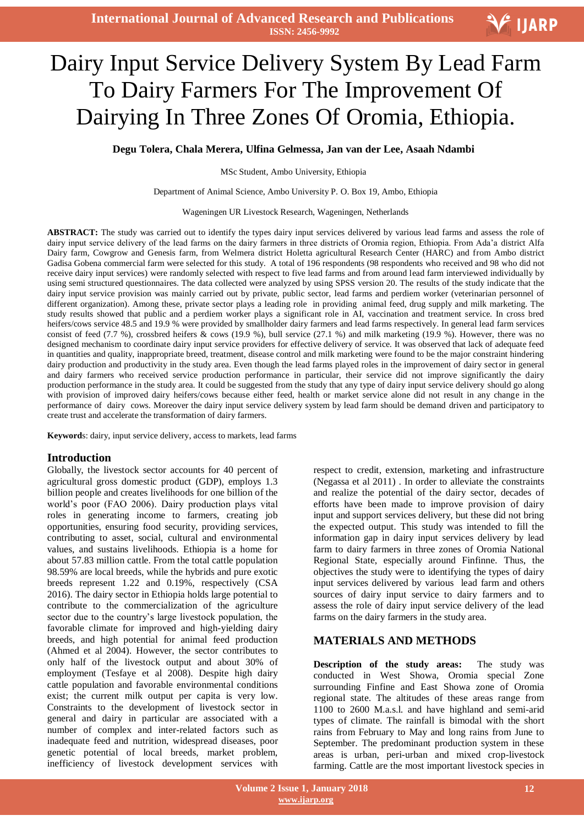# Dairy Input Service Delivery System By Lead Farm To Dairy Farmers For The Improvement Of Dairying In Three Zones Of Oromia, Ethiopia.

## **Degu Tolera, Chala Merera, Ulfina Gelmessa, Jan van der Lee, Asaah Ndambi**

MSc Student, Ambo University, Ethiopia

Department of Animal Science, Ambo University P. O. Box 19, Ambo, Ethiopia

Wageningen UR Livestock Research, Wageningen, Netherlands

**ABSTRACT:** The study was carried out to identify the types dairy input services delivered by various lead farms and assess the role of dairy input service delivery of the lead farms on the dairy farmers in three districts of Oromia region, Ethiopia. From Ada'a district Alfa Dairy farm, Cowgrow and Genesis farm, from Welmera district Holetta agricultural Research Center (HARC) and from Ambo district Gadisa Gobena commercial farm were selected for this study. A total of 196 respondents (98 respondents who received and 98 who did not receive dairy input services) were randomly selected with respect to five lead farms and from around lead farm interviewed individually by using semi structured questionnaires. The data collected were analyzed by using SPSS version 20. The results of the study indicate that the dairy input service provision was mainly carried out by private, public sector, lead farms and perdiem worker (veterinarian personnel of different organization). Among these, private sector plays a leading role in providing animal feed, drug supply and milk marketing. The study results showed that public and a perdiem worker plays a significant role in AI, vaccination and treatment service. In cross bred heifers/cows service 48.5 and 19.9 % were provided by smallholder dairy farmers and lead farms respectively. In general lead farm services consist of feed (7.7 %), crossbred heifers & cows (19.9 %), bull service (27.1 %) and milk marketing (19.9 %). However, there was no designed mechanism to coordinate dairy input service providers for effective delivery of service. It was observed that lack of adequate feed in quantities and quality, inappropriate breed, treatment, disease control and milk marketing were found to be the major constraint hindering dairy production and productivity in the study area. Even though the lead farms played roles in the improvement of dairy sector in general and dairy farmers who received service production performance in particular, their service did not improve significantly the dairy production performance in the study area. It could be suggested from the study that any type of dairy input service delivery should go along with provision of improved dairy heifers/cows because either feed, health or market service alone did not result in any change in the performance of dairy cows. Moreover the dairy input service delivery system by lead farm should be demand driven and participatory to create trust and accelerate the transformation of dairy farmers.

**Keyword**s: dairy, input service delivery, access to markets, lead farms

# **Introduction**

Globally, the livestock sector accounts for 40 percent of agricultural gross domestic product (GDP), employs 1.3 billion people and creates livelihoods for one billion of the world's poor (FAO 2006). Dairy production plays vital roles in generating income to farmers, creating job opportunities, ensuring food security, providing services, contributing to asset, social, cultural and environmental values, and sustains livelihoods. Ethiopia is a home for about 57.83 million cattle. From the total cattle population 98.59% are local breeds, while the hybrids and pure exotic breeds represent 1.22 and 0.19%, respectively (CSA 2016). The dairy sector in Ethiopia holds large potential to contribute to the commercialization of the agriculture sector due to the country's large livestock population, the favorable climate for improved and high-yielding dairy breeds, and high potential for animal feed production (Ahmed et al 2004). However, the sector contributes to only half of the livestock output and about 30% of employment (Tesfaye et al 2008). Despite high dairy cattle population and favorable environmental conditions exist; the current milk output per capita is very low. Constraints to the development of livestock sector in general and dairy in particular are associated with a number of complex and inter-related factors such as inadequate feed and nutrition, widespread diseases, poor genetic potential of local breeds, market problem, inefficiency of livestock development services with

respect to credit, extension, marketing and infrastructure (Negassa et al 2011) . In order to alleviate the constraints and realize the potential of the dairy sector, decades of efforts have been made to improve provision of dairy input and support services delivery, but these did not bring the expected output. This study was intended to fill the information gap in dairy input services delivery by lead farm to dairy farmers in three zones of Oromia National Regional State, especially around Finfinne. Thus, the objectives the study were to identifying the types of dairy input services delivered by various lead farm and others sources of dairy input service to dairy farmers and to assess the role of dairy input service delivery of the lead farms on the dairy farmers in the study area.

# **MATERIALS AND METHODS**

**Description of the study areas:** The study was conducted in West Showa, Oromia special Zone surrounding Finfine and East Showa zone of Oromia regional state. The altitudes of these areas range from 1100 to 2600 M.a.s.l. and have highland and semi-arid types of climate. The rainfall is bimodal with the short rains from February to May and long rains from June to September. The predominant production system in these areas is urban, peri-urban and mixed crop-livestock farming. Cattle are the most important livestock species in

V IJARP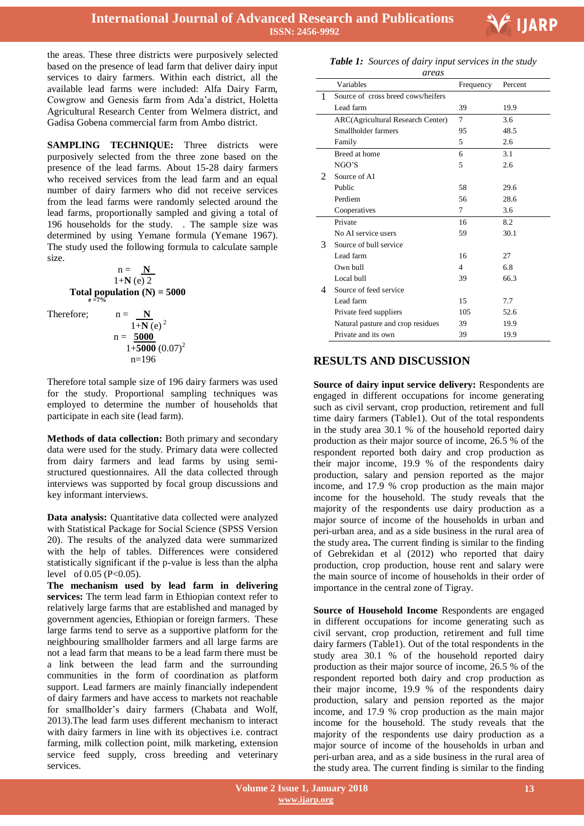

the areas. These three districts were purposively selected based on the presence of lead farm that deliver dairy input services to dairy farmers. Within each district, all the available lead farms were included: Alfa Dairy Farm, Cowgrow and Genesis farm from Ada'a district, Holetta Agricultural Research Center from Welmera district, and Gadisa Gobena commercial farm from Ambo district.

**SAMPLING TECHNIQUE:** Three districts were purposively selected from the three zone based on the presence of the lead farms. About 15-28 dairy farmers who received services from the lead farm and an equal number of dairy farmers who did not receive services from the lead farms were randomly selected around the lead farms, proportionally sampled and giving a total of 196 households for the study. . The sample size was determined by using Yemane formula (Yemane 1967). The study used the following formula to calculate sample size.

$$
n = \frac{N}{1+N}
$$
  
1+N (e) 2  
Total population (N) = 5000

Therefore: r

Therefore;  
\n
$$
n = \frac{N}{1+N (e)^{2}}
$$
\n
$$
n = \frac{5000}{1+5000 (0.07)^{2}}
$$
\n
$$
n=196
$$

Therefore total sample size of 196 dairy farmers was used for the study. Proportional sampling techniques was employed to determine the number of households that participate in each site (lead farm).

**Methods of data collection:** Both primary and secondary data were used for the study. Primary data were collected from dairy farmers and lead farms by using semistructured questionnaires. All the data collected through interviews was supported by focal group discussions and key informant interviews.

**Data analysis:** Quantitative data collected were analyzed with Statistical Package for Social Science (SPSS Version 20). The results of the analyzed data were summarized with the help of tables. Differences were considered statistically significant if the p-value is less than the alpha level of  $0.05$  (P<0.05).

**The mechanism used by lead farm in delivering services:** The term lead farm in Ethiopian context refer to relatively large farms that are established and managed by government agencies, Ethiopian or foreign farmers. These large farms tend to serve as a supportive platform for the neighbouring smallholder farmers and all large farms are not a lead farm that means to be a lead farm there must be a link between the lead farm and the surrounding communities in the form of coordination as platform support. Lead farmers are mainly financially independent of dairy farmers and have access to markets not reachable for smallholder's dairy farmers (Chabata and Wolf, 2013).The lead farm uses different mechanism to interact with dairy farmers in line with its objectives i.e. contract farming, milk collection point, milk marketing, extension service feed supply, cross breeding and veterinary services.

| <b>Table 1:</b> Sources of dairy input services in the study |  |  |  |  |  |  |  |  |  |
|--------------------------------------------------------------|--|--|--|--|--|--|--|--|--|
|                                                              |  |  |  |  |  |  |  |  |  |

| areas |                                           |           |         |  |  |  |  |  |  |
|-------|-------------------------------------------|-----------|---------|--|--|--|--|--|--|
|       | Variables                                 | Frequency | Percent |  |  |  |  |  |  |
| 1     | Source of cross breed cows/heifers        |           |         |  |  |  |  |  |  |
|       | Lead farm                                 | 39        | 19.9    |  |  |  |  |  |  |
|       | <b>ARC</b> (Agricultural Research Center) | 7         | 3.6     |  |  |  |  |  |  |
|       | Smallholder farmers                       | 95        | 48.5    |  |  |  |  |  |  |
|       | Family                                    | 5         | 2.6     |  |  |  |  |  |  |
|       | Breed at home                             | 6         | 3.1     |  |  |  |  |  |  |
|       | NGO'S                                     | 5         | 2.6     |  |  |  |  |  |  |
| 2     | Source of AI                              |           |         |  |  |  |  |  |  |
|       | Public                                    | 58        | 29.6    |  |  |  |  |  |  |
|       | Perdiem                                   | 56        | 28.6    |  |  |  |  |  |  |
|       | Cooperatives                              | 7         | 3.6     |  |  |  |  |  |  |
|       | Private                                   | 16        | 8.2     |  |  |  |  |  |  |
|       | No AI service users                       | 59        | 30.1    |  |  |  |  |  |  |
| 3     | Source of bull service                    |           |         |  |  |  |  |  |  |
|       | Lead farm                                 | 16        | 27      |  |  |  |  |  |  |
|       | Own bull                                  | 4         | 6.8     |  |  |  |  |  |  |
|       | Local bull                                | 39        | 66.3    |  |  |  |  |  |  |
| 4     | Source of feed service                    |           |         |  |  |  |  |  |  |
|       | Lead farm                                 | 15        | 7.7     |  |  |  |  |  |  |
|       | Private feed suppliers                    | 105       | 52.6    |  |  |  |  |  |  |
|       | Natural pasture and crop residues         | 39        | 19.9    |  |  |  |  |  |  |
|       | Private and its own                       | 39        | 19.9    |  |  |  |  |  |  |

# **RESULTS AND DISCUSSION**

**Source of dairy input service delivery:** Respondents are engaged in different occupations for income generating such as civil servant, crop production, retirement and full time dairy farmers (Table1). Out of the total respondents in the study area 30.1 % of the household reported dairy production as their major source of income, 26.5 % of the respondent reported both dairy and crop production as their major income, 19.9 % of the respondents dairy production, salary and pension reported as the major income, and 17.9 % crop production as the main major income for the household. The study reveals that the majority of the respondents use dairy production as a major source of income of the households in urban and peri-urban area, and as a side business in the rural area of the study area**.** The current finding is similar to the finding of Gebrekidan et al (2012) who reported that dairy production, crop production, house rent and salary were the main source of income of households in their order of importance in the central zone of Tigray.

**Source of Household Income** Respondents are engaged in different occupations for income generating such as civil servant, crop production, retirement and full time dairy farmers (Table1). Out of the total respondents in the study area 30.1 % of the household reported dairy production as their major source of income, 26.5 % of the respondent reported both dairy and crop production as their major income, 19.9 % of the respondents dairy production, salary and pension reported as the major income, and 17.9 % crop production as the main major income for the household. The study reveals that the majority of the respondents use dairy production as a major source of income of the households in urban and peri-urban area, and as a side business in the rural area of the study area. The current finding is similar to the finding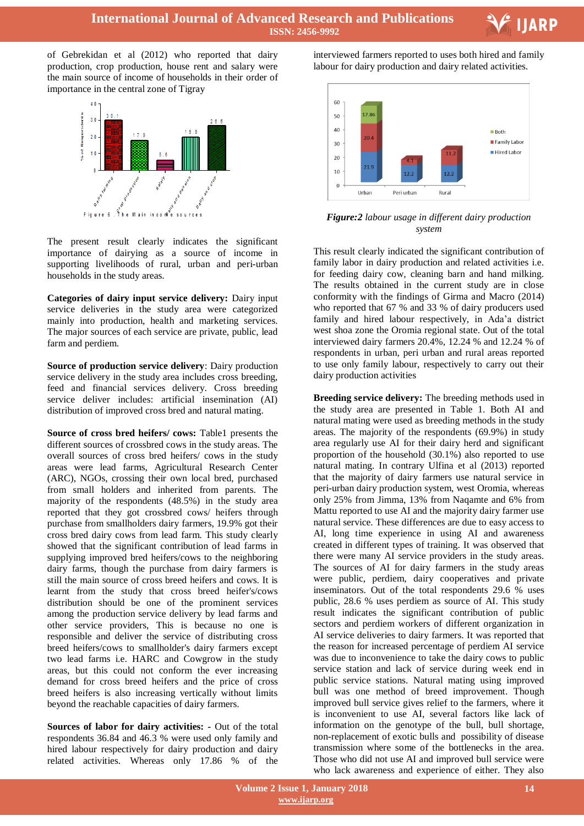

# **International Journal of Advanced Research and Publications ISSN: 2456-9992**

of Gebrekidan et al (2012) who reported that dairy production, crop production, house rent and salary were the main source of income of households in their order of importance in the central zone of Tigray



The present result clearly indicates the significant importance of dairying as a source of income in supporting livelihoods of rural, urban and peri-urban households in the study areas.

**Categories of dairy input service delivery:** Dairy input service deliveries in the study area were categorized mainly into production, health and marketing services. The major sources of each service are private, public, lead farm and perdiem.

**Source of production service delivery**: Dairy production service delivery in the study area includes cross breeding, feed and financial services delivery. Cross breeding service deliver includes: artificial insemination (AI) distribution of improved cross bred and natural mating.

**Source of cross bred heifers/ cows:** Table1 presents the different sources of crossbred cows in the study areas. The overall sources of cross bred heifers/ cows in the study areas were lead farms, Agricultural Research Center (ARC), NGOs, crossing their own local bred, purchased from small holders and inherited from parents. The majority of the respondents (48.5%) in the study area reported that they got crossbred cows/ heifers through purchase from smallholders dairy farmers, 19.9% got their cross bred dairy cows from lead farm. This study clearly showed that the significant contribution of lead farms in supplying improved bred heifers/cows to the neighboring dairy farms, though the purchase from dairy farmers is still the main source of cross breed heifers and cows. It is learnt from the study that cross breed heifer's/cows distribution should be one of the prominent services among the production service delivery by lead farms and other service providers, This is because no one is responsible and deliver the service of distributing cross breed heifers/cows to smallholder's dairy farmers except two lead farms i.e. HARC and Cowgrow in the study areas, but this could not conform the ever increasing demand for cross breed heifers and the price of cross breed heifers is also increasing vertically without limits beyond the reachable capacities of dairy farmers.

**Sources of labor for dairy activities: -** Out of the total respondents 36.84 and 46.3 % were used only family and hired labour respectively for dairy production and dairy related activities. Whereas only 17.86 % of the

Interviewed farmers reported to uses both fined and far<br>labour for dairy production and dairy related activities. interviewed farmers reported to uses both hired and family



*Figure:2 labour usage in different dairy production system*

This result clearly indicated the significant contribution of family labor in dairy production and related activities i.e. for feeding dairy cow, cleaning barn and hand milking. The results obtained in the current study are in close conformity with the findings of Girma and Macro (2014) who reported that 67 % and 33 % of dairy producers used family and hired labour respectively, in Ada'a district west shoa zone the Oromia regional state. Out of the total interviewed dairy farmers 20.4%, 12.24 % and 12.24 % of respondents in urban, peri urban and rural areas reported to use only family labour, respectively to carry out their dairy production activities

**Breeding service delivery:** The breeding methods used in the study area are presented in Table 1. Both AI and natural mating were used as breeding methods in the study areas. The majority of the respondents (69.9%) in study area regularly use AI for their dairy herd and significant proportion of the household (30.1%) also reported to use natural mating. In contrary Ulfina et al (2013) reported that the majority of dairy farmers use natural service in peri-urban dairy production system, west Oromia, whereas only 25% from Jimma, 13% from Naqamte and 6% from Mattu reported to use AI and the majority dairy farmer use natural service. These differences are due to easy access to AI, long time experience in using AI and awareness created in different types of training. It was observed that there were many AI service providers in the study areas. The sources of AI for dairy farmers in the study areas were public, perdiem, dairy cooperatives and private inseminators. Out of the total respondents 29.6 % uses public, 28.6 % uses perdiem as source of AI. This study result indicates the significant contribution of public sectors and perdiem workers of different organization in AI service deliveries to dairy farmers. It was reported that the reason for increased percentage of perdiem AI service was due to inconvenience to take the dairy cows to public service station and lack of service during week end in public service stations. Natural mating using improved bull was one method of breed improvement. Though improved bull service gives relief to the farmers, where it is inconvenient to use AI, several factors like lack of information on the genotype of the bull, bull shortage, non-replacement of exotic bulls and possibility of disease transmission where some of the bottlenecks in the area. Those who did not use AI and improved bull service were who lack awareness and experience of either. They also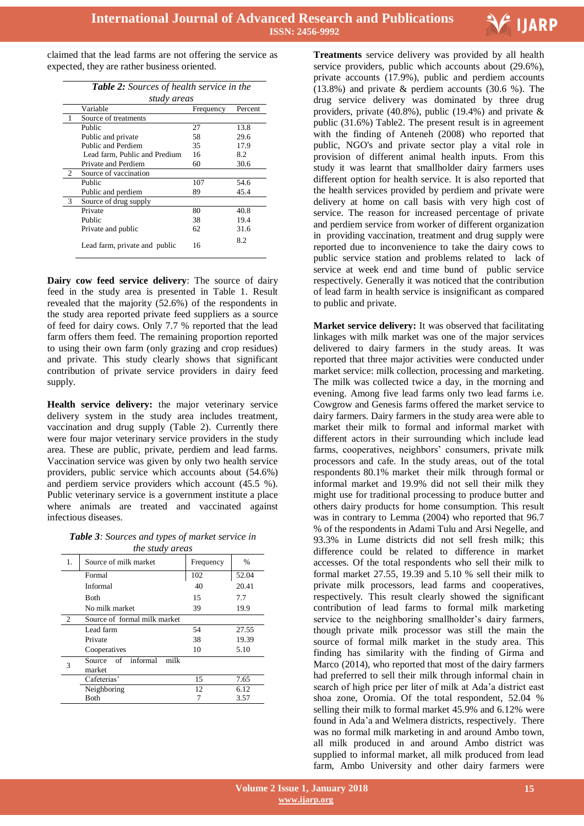

claimed that the lead farms are not offering the service as expected, they are rather business oriented.

| <b>Table 2:</b> Sources of health service in the |                               |           |         |  |  |  |  |  |  |
|--------------------------------------------------|-------------------------------|-----------|---------|--|--|--|--|--|--|
| study areas                                      |                               |           |         |  |  |  |  |  |  |
|                                                  | Variable                      | Frequency | Percent |  |  |  |  |  |  |
|                                                  | Source of treatments          |           |         |  |  |  |  |  |  |
|                                                  | Public                        | 27        | 13.8    |  |  |  |  |  |  |
|                                                  | Public and private            | 58        | 29.6    |  |  |  |  |  |  |
|                                                  | Public and Perdiem            | 35        | 17.9    |  |  |  |  |  |  |
|                                                  | Lead farm, Public and Predium | 16        | 8.2     |  |  |  |  |  |  |
|                                                  | Private and Perdiem           | 60        | 30.6    |  |  |  |  |  |  |
| 2                                                | Source of vaccination         |           |         |  |  |  |  |  |  |
|                                                  | Public                        | 107       | 54.6    |  |  |  |  |  |  |
|                                                  | Public and perdiem            | 89        | 45.4    |  |  |  |  |  |  |
| 3                                                | Source of drug supply         |           |         |  |  |  |  |  |  |
|                                                  | Private                       | 80        | 40.8    |  |  |  |  |  |  |
|                                                  | Public                        | 38        | 19.4    |  |  |  |  |  |  |
|                                                  | Private and public            | 62        | 31.6    |  |  |  |  |  |  |
|                                                  | Lead farm, private and public | 16        | 8.2     |  |  |  |  |  |  |

**Dairy cow feed service delivery**: The source of dairy feed in the study area is presented in Table 1. Result revealed that the majority (52.6%) of the respondents in the study area reported private feed suppliers as a source of feed for dairy cows. Only 7.7 % reported that the lead farm offers them feed. The remaining proportion reported to using their own farm (only grazing and crop residues) and private. This study clearly shows that significant contribution of private service providers in dairy feed supply.

**Health service delivery:** the major veterinary service delivery system in the study area includes treatment, vaccination and drug supply (Table 2). Currently there were four major veterinary service providers in the study area. These are public, private, perdiem and lead farms. Vaccination service was given by only two health service providers, public service which accounts about (54.6%) and perdiem service providers which account (45.5 %). Public veterinary service is a government institute a place where animals are treated and vaccinated against infectious diseases.

*Table 3: Sources and types of market service in the study areas*

| 1. | Source of milk market                   | Frequency | %     |
|----|-----------------------------------------|-----------|-------|
|    | Formal                                  | 102       | 52.04 |
|    | Informal                                | 40        | 20.41 |
|    | <b>Both</b>                             | 15        | 7.7   |
|    | No milk market                          | 39        | 19.9  |
|    | Source of formal milk market            |           |       |
|    | Lead farm                               | 54        | 27.55 |
|    | Private                                 | 38        | 19.39 |
|    | Cooperatives                            | 10        | 5.10  |
| 3  | of informal<br>milk<br>Source<br>market |           |       |
|    | Cafeterias'                             | 15        | 7.65  |
|    | Neighboring                             | 12        | 6.12  |
|    | Both                                    |           | 3.57  |

**Treatments** service delivery was provided by all health service providers, public which accounts about (29.6%), **Treatments** service delivery was provided by all health private accounts (17.9%), public and perdiem accounts (13.8%) and private & perdiem accounts (30.6 %). The drug service delivery was dominated by three drug providers, private  $(40.8\%)$ , public  $(19.4\%)$  and private & public (31.6%) Table2. The present result is in agreement with the finding of Anteneh (2008) who reported that public, NGO's and private sector play a vital role in provision of different animal health inputs. From this study it was learnt that smallholder dairy farmers uses different option for health service. It is also reported that the health services provided by perdiem and private were delivery at home on call basis with very high cost of service. The reason for increased percentage of private and perdiem service from worker of different organization in providing vaccination, treatment and drug supply were reported due to inconvenience to take the dairy cows to public service station and problems related to lack of service at week end and time bund of public service respectively. Generally it was noticed that the contribution of lead farm in health service is insignificant as compared to public and private.

**Market service delivery:** It was observed that facilitating linkages with milk market was one of the major services delivered to dairy farmers in the study areas. It was reported that three major activities were conducted under market service: milk collection, processing and marketing. The milk was collected twice a day, in the morning and evening. Among five lead farms only two lead farms i.e. Cowgrow and Genesis farms offered the market service to dairy farmers. Dairy farmers in the study area were able to market their milk to formal and informal market with different actors in their surrounding which include lead farms, cooperatives, neighbors' consumers, private milk processors and cafe. In the study areas, out of the total respondents 80.1% market their milk through formal or informal market and 19.9% did not sell their milk they might use for traditional processing to produce butter and others dairy products for home consumption. This result was in contrary to Lemma (2004) who reported that 96.7 % of the respondents in Adami Tulu and Arsi Negelle, and 93.3% in Lume districts did not sell fresh milk; this difference could be related to difference in market accesses. Of the total respondents who sell their milk to formal market 27.55, 19.39 and 5.10 % sell their milk to private milk processors, lead farms and cooperatives, respectively. This result clearly showed the significant contribution of lead farms to formal milk marketing service to the neighboring smallholder's dairy farmers, though private milk processor was still the main the source of formal milk market in the study area. This finding has similarity with the finding of Girma and Marco (2014), who reported that most of the dairy farmers had preferred to sell their milk through informal chain in search of high price per liter of milk at Ada'a district east shoa zone, Oromia. Of the total respondent, 52.04 % selling their milk to formal market 45.9% and 6.12% were found in Ada'a and Welmera districts, respectively. There was no formal milk marketing in and around Ambo town, all milk produced in and around Ambo district was supplied to informal market, all milk produced from lead farm, Ambo University and other dairy farmers were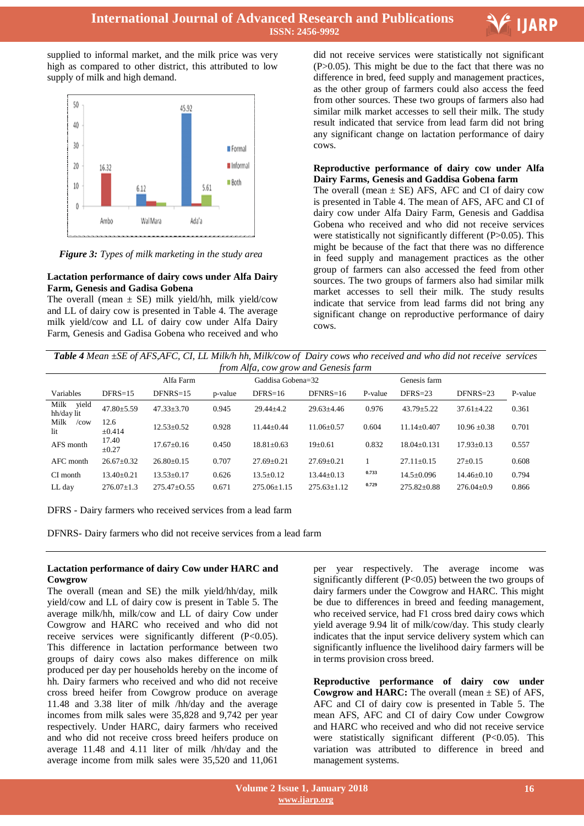

supplied to informal market, and the milk price was very high as compared to other district, this attributed to low supply of milk and high demand.



*Figure 3: Types of milk marketing in the study area*

### **Lactation performance of dairy cows under Alfa Dairy Farm, Genesis and Gadisa Gobena**

The overall (mean  $\pm$  SE) milk yield/hh, milk yield/cow and LL of dairy cow is presented in Table 4. The average milk yield/cow and LL of dairy cow under Alfa Dairy Farm, Genesis and Gadisa Gobena who received and who  (P>0.05). This might be due to the fact that there was no did not receive services were statistically not significant difference in bred, feed supply and management practices, as the other group of farmers could also access the feed from other sources. These two groups of farmers also had similar milk market accesses to sell their milk. The study result indicated that service from lead farm did not bring any significant change on lactation performance of dairy cows.

### **Reproductive performance of dairy cow under Alfa Dairy Farms, Genesis and Gaddisa Gobena farm**

The overall (mean  $\pm$  SE) AFS, AFC and CI of dairy cow is presented in Table 4. The mean of AFS, AFC and CI of dairy cow under Alfa Dairy Farm, Genesis and Gaddisa Gobena who received and who did not receive services were statistically not significantly different (P>0.05). This might be because of the fact that there was no difference in feed supply and management practices as the other group of farmers can also accessed the feed from other sources. The two groups of farmers also had similar milk market accesses to sell their milk. The study results indicate that service from lead farms did not bring any significant change on reproductive performance of dairy cows.

| Table 4 Mean ±SE of AFS, AFC, CI, LL Milk/h hh, Milk/cow of Dairy cows who received and who did not receive services |  |
|----------------------------------------------------------------------------------------------------------------------|--|
| from Alfa, cow grow and Genesis farm                                                                                 |  |

|                             | <i>romanga</i> , con gron and Schesis farm |                                   |                |                                      |                                       |                |                                       |                                      |                |  |
|-----------------------------|--------------------------------------------|-----------------------------------|----------------|--------------------------------------|---------------------------------------|----------------|---------------------------------------|--------------------------------------|----------------|--|
|                             |                                            | Alfa Farm                         |                | Gaddisa Gobena=32                    |                                       |                | Genesis farm                          |                                      |                |  |
| Variables                   | $DFRS=15$                                  | $DFNRS=15$                        | p-value        | $DFRS=16$                            | $DFNRS=16$                            | P-value        | $DFRS = 23$                           | $DFNRS = 23$                         | P-value        |  |
| yield<br>Milk<br>hh/day lit | $47.80 \pm 5.59$                           | $47.33 \pm 3.70$                  | 0.945          | $29.44 \pm 4.2$                      | $29.63 \pm 4.46$                      | 0.976          | $43.79 \pm 5.22$                      | $37.61 \pm 4.22$                     | 0.361          |  |
| Milk<br>$/$ cow<br>lit      | 12.6<br>$\pm 0.414$                        | $12.53 \pm 0.52$                  | 0.928          | $11.44 + 0.44$                       | $11.06 + 0.57$                        | 0.604          | $11.14 + 0.407$                       | $10.96 + 0.38$                       | 0.701          |  |
| AFS month                   | 17.40<br>$\pm 0.27$                        | $17.67 \pm 0.16$                  | 0.450          | $18.81 \pm 0.63$                     | $19 \pm 0.61$                         | 0.832          | $18.04 + 0.131$                       | $17.93+0.13$                         | 0.557          |  |
| AFC month                   | $26.67+0.32$                               | $26.80 + 0.15$                    | 0.707          | $27.69 + 0.21$                       | $27.69 + 0.21$                        |                | $27.11 + 0.15$                        | $27+0.15$                            | 0.608          |  |
| CI month<br>LL day          | $13.40+0.21$<br>$276.07 \pm 1.3$           | $13.53+0.17$<br>$275.47 \pm 0.55$ | 0.626<br>0.671 | $13.5 \pm 0.12$<br>$275.06 \pm 1.15$ | $13.44 \pm 0.13$<br>$275.63 \pm 1.12$ | 0.733<br>0.729 | $14.5 \pm 0.096$<br>$275.82 \pm 0.88$ | $14.46 \pm 0.10$<br>$276.04 \pm 0.9$ | 0.794<br>0.866 |  |
|                             |                                            |                                   |                |                                      |                                       |                |                                       |                                      |                |  |

DFRS - Dairy farmers who received services from a lead farm

DFNRS- Dairy farmers who did not receive services from a lead farm

#### **Lactation performance of dairy Cow under HARC and Cowgrow**

The overall (mean and SE) the milk yield/hh/day, milk yield/cow and LL of dairy cow is present in Table 5. The average milk/hh, milk/cow and LL of dairy Cow under Cowgrow and HARC who received and who did not receive services were significantly different (P<0.05). This difference in lactation performance between two groups of dairy cows also makes difference on milk produced per day per households hereby on the income of hh. Dairy farmers who received and who did not receive cross breed heifer from Cowgrow produce on average 11.48 and 3.38 liter of milk /hh/day and the average incomes from milk sales were 35,828 and 9,742 per year respectively. Under HARC, dairy farmers who received and who did not receive cross breed heifers produce on average 11.48 and 4.11 liter of milk /hh/day and the average income from milk sales were 35,520 and 11,061

per year respectively. The average income was significantly different (P<0.05) between the two groups of dairy farmers under the Cowgrow and HARC. This might be due to differences in breed and feeding management, who received service, had F1 cross bred dairy cows which yield average 9.94 lit of milk/cow/day. This study clearly indicates that the input service delivery system which can significantly influence the livelihood dairy farmers will be in terms provision cross breed.

**Reproductive performance of dairy cow under Cowgrow and HARC:** The overall (mean  $\pm$  SE) of AFS, AFC and CI of dairy cow is presented in Table 5. The mean AFS, AFC and CI of dairy Cow under Cowgrow and HARC who received and who did not receive service were statistically significant different  $(P<0.05)$ . This variation was attributed to difference in breed and management systems.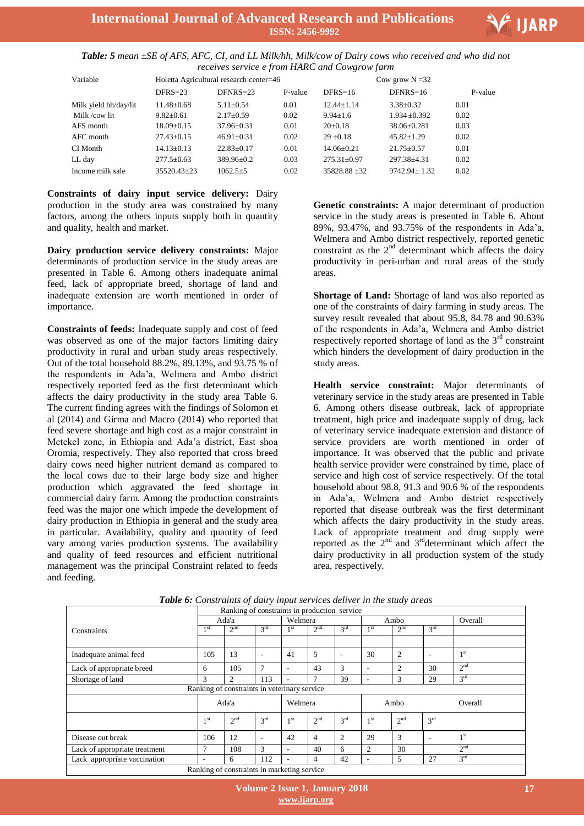

 *Table: 5 mean ±SE of AFS, AFC, CI, and LL Milk/hh, Milk/cow of Dairy cows who received and who did not receives service e from HARC and Cowgrow farm*

| Variable              |                  | Holetta Agricultural research center=46 |         | Cow grow $N = 32$ |                   |         |  |  |
|-----------------------|------------------|-----------------------------------------|---------|-------------------|-------------------|---------|--|--|
|                       | $DFRS = 23$      | $DFNRS = 23$                            | P-value | $DFRS=16$         | $DFNRS=16$        | P-value |  |  |
| Milk yield hh/day/lit | $11.48 + 0.68$   | $5.11 \pm 0.54$                         | 0.01    | $12.44 + 1.14$    | $3.38 \pm 0.32$   | 0.01    |  |  |
| Milk /cow lit         | $9.82 \pm 0.61$  | $2.17 \pm 0.59$                         | 0.02    | $9.94 \pm 1.6$    | $1.934 \pm 0.392$ | 0.02    |  |  |
| AFS month             | $18.09 \pm 0.15$ | $37.96 \pm 0.31$                        | 0.01    | $20 \pm 0.18$     | $38.06 \pm 0.281$ | 0.03    |  |  |
| AFC month             | $27.43+0.15$     | $46.91 + 0.31$                          | 0.02    | $29 + 0.18$       | $45.82 + 1.29$    | 0.02    |  |  |
| CI Month              | $14.13 \pm 0.13$ | $22.83+0.17$                            | 0.01    | $14.06 \pm 0.21$  | $21.75 \pm 0.57$  | 0.01    |  |  |
| LL day                | $277.5 \pm 0.63$ | $389.96 \pm 0.2$                        | 0.03    | $275.31 \pm 0.97$ | $297.38 \pm 4.31$ | 0.02    |  |  |
| Income milk sale      | $35520.43\pm23$  | $1062.5+5$                              | 0.02    | $35828.88 \pm 32$ | $9742.94 + 1.32$  | 0.02    |  |  |

**Constraints of dairy input service delivery:** Dairy production in the study area was constrained by many factors, among the others inputs supply both in quantity and quality, health and market.

**Dairy production service delivery constraints:** Major determinants of production service in the study areas are presented in Table 6. Among others inadequate animal feed, lack of appropriate breed, shortage of land and inadequate extension are worth mentioned in order of importance.

**Constraints of feeds:** Inadequate supply and cost of feed was observed as one of the major factors limiting dairy productivity in rural and urban study areas respectively. Out of the total household 88.2%, 89.13%, and 93.75 % of the respondents in Ada'a, Welmera and Ambo district respectively reported feed as the first determinant which affects the dairy productivity in the study area Table 6. The current finding agrees with the findings of Solomon et al (2014) and Girma and Macro (2014) who reported that feed severe shortage and high cost as a major constraint in Metekel zone, in Ethiopia and Ada'a district, East shoa Oromia, respectively. They also reported that cross breed dairy cows need higher nutrient demand as compared to the local cows due to their large body size and higher production which aggravated the feed shortage in commercial dairy farm. Among the production constraints feed was the major one which impede the development of dairy production in Ethiopia in general and the study area in particular. Availability, quality and quantity of feed vary among varies production systems. The availability and quality of feed resources and efficient nutritional management was the principal Constraint related to feeds and feeding.

**Genetic constraints:** A major determinant of production service in the study areas is presented in Table 6. About 89%, 93.47%, and 93.75% of the respondents in Ada'a, Welmera and Ambo district respectively, reported genetic constraint as the  $2<sup>nd</sup>$  determinant which affects the dairy productivity in peri-urban and rural areas of the study areas.

**Shortage of Land:** Shortage of land was also reported as one of the constraints of dairy farming in study areas. The survey result revealed that about 95.8, 84.78 and 90.63% of the respondents in Ada'a, Welmera and Ambo district respectively reported shortage of land as the  $3<sup>rd</sup>$  constraint which hinders the development of dairy production in the study areas.

**Health service constraint:** Major determinants of veterinary service in the study areas are presented in Table 6. Among others disease outbreak, lack of appropriate treatment, high price and inadequate supply of drug, lack of veterinary service inadequate extension and distance of service providers are worth mentioned in order of importance. It was observed that the public and private health service provider were constrained by time, place of service and high cost of service respectively. Of the total household about 98.8, 91.3 and 90.6 % of the respondents in Ada'a, Welmera and Ambo district respectively reported that disease outbreak was the first determinant which affects the dairy productivity in the study areas. Lack of appropriate treatment and drug supply were reported as the  $2<sup>nd</sup>$  and  $3<sup>rd</sup>$  determinant which affect the dairy productivity in all production system of the study area, respectively.

| Ranking of constraints in production service |                                             |                 |                          |                          |                 |                 |                 |                 |                 |                 |  |
|----------------------------------------------|---------------------------------------------|-----------------|--------------------------|--------------------------|-----------------|-----------------|-----------------|-----------------|-----------------|-----------------|--|
|                                              |                                             | Ada'a           |                          | Welmera                  |                 |                 |                 | Ambo            |                 | Overall         |  |
| Constraints                                  | 1 <sup>st</sup>                             | 2 <sup>nd</sup> | $3^{\text{rd}}$          | 1 <sup>st</sup>          | 2 <sup>nd</sup> | $3^{\text{rd}}$ | 1 <sub>st</sub> | 2 <sup>nd</sup> | 3 <sup>rd</sup> |                 |  |
|                                              |                                             |                 |                          |                          |                 |                 |                 |                 |                 |                 |  |
| Inadequate animal feed                       | 105                                         | 13              | ٠                        | 41                       | 5               | ۰.              | 30              | $\overline{2}$  | ۰               | 1 <sup>st</sup> |  |
| Lack of appropriate breed                    | 6                                           | 105             | $\mathcal{I}$            | ٠                        | 43              | 3               | ۰               | 2               | 30              | 2 <sup>nd</sup> |  |
| Shortage of land                             | 3                                           | 2               | 113                      | $\overline{\phantom{0}}$ | 7               | 39              | ۰               | 3               | 29              | $3^{\rm rd}$    |  |
| Ranking of constraints in veterinary service |                                             |                 |                          |                          |                 |                 |                 |                 |                 |                 |  |
|                                              | Ada'a                                       |                 |                          |                          | Welmera<br>Ambo |                 |                 |                 |                 | Overall         |  |
|                                              | 1 <sup>st</sup>                             | 2 <sup>nd</sup> | 3 <sup>rd</sup>          | 1 <sup>st</sup>          | 2 <sup>nd</sup> | $3^{\text{rd}}$ | 1 <sup>st</sup> | 2 <sup>nd</sup> | 3 <sup>rd</sup> |                 |  |
| Disease out break                            | 106                                         | 12              | $\overline{\phantom{a}}$ | 42                       | $\overline{4}$  | 2               | 29              | 3               | ٠               | 1 <sup>st</sup> |  |
| Lack of appropriate treatment                |                                             | 108             | 3                        | $\overline{\phantom{0}}$ | 40              | 6               | $\overline{2}$  | 30              |                 | 2 <sup>nd</sup> |  |
| Lack appropriate vaccination                 | $\overline{\phantom{a}}$                    | 6               | 112                      | $\overline{\phantom{0}}$ | 4               | 42              | ۰               | 5               | 27              | 3 <sup>rd</sup> |  |
|                                              | Ranking of constraints in marketing service |                 |                          |                          |                 |                 |                 |                 |                 |                 |  |

*Table 6: Constraints of dairy input services deliver in the study areas*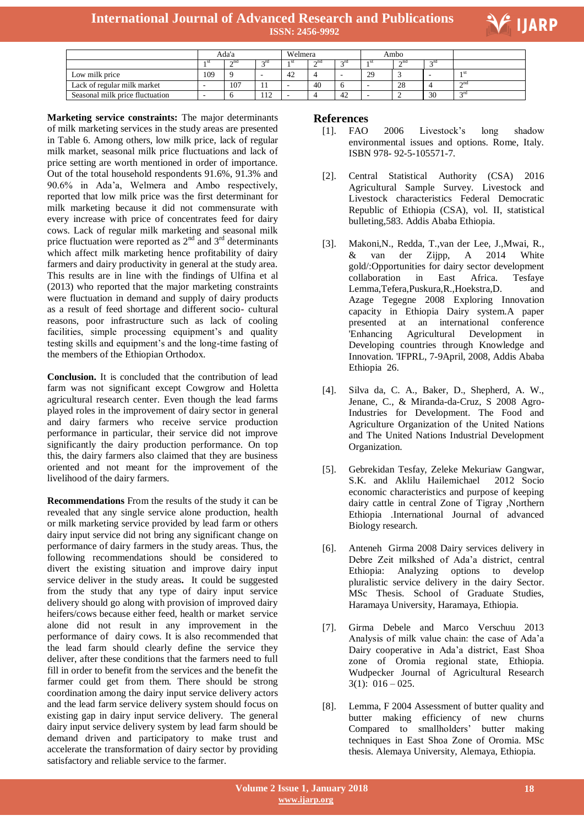

|                                 |      | Ada'a     |                        | Welmera |           |             |      | Ambo      |                  |           |
|---------------------------------|------|-----------|------------------------|---------|-----------|-------------|------|-----------|------------------|-----------|
|                                 | 1 S. | $\cap$ nd | $\mathcal{P}$ rd       | - 1 St  | $\sim$ nd | $\gamma$ rd | ı st | $\cap$ nd | $\mathcal{P}$ rd |           |
| Low milk price                  | 109  |           |                        | 42      |           |             | 29   |           |                  | -1 St     |
| Lack of regular milk market     |      | 107       | . .                    |         | 40        |             |      | 28        |                  | $\sim$ nd |
| Seasonal milk price fluctuation |      |           | 1 <sub>0</sub><br>11 Z | ۰       |           | 42          |      | ∼         | 30               | $\sim$ rd |

**Marketing service constraints:** The major determinants of milk marketing services in the study areas are presented in Table 6. Among others, low milk price, lack of regular milk market, seasonal milk price fluctuations and lack of price setting are worth mentioned in order of importance. Out of the total household respondents 91.6%, 91.3% and 90.6% in Ada'a, Welmera and Ambo respectively, reported that low milk price was the first determinant for milk marketing because it did not commensurate with every increase with price of concentrates feed for dairy cows. Lack of regular milk marketing and seasonal milk price fluctuation were reported as  $2<sup>nd</sup>$  and  $3<sup>rd</sup>$  determinants which affect milk marketing hence profitability of dairy farmers and dairy productivity in general at the study area. This results are in line with the findings of Ulfina et al (2013) who reported that the major marketing constraints were fluctuation in demand and supply of dairy products as a result of feed shortage and different socio- cultural reasons, poor infrastructure such as lack of cooling facilities, simple processing equipment's and quality testing skills and equipment's and the long-time fasting of the members of the Ethiopian Orthodox.

**Conclusion.** It is concluded that the contribution of lead farm was not significant except Cowgrow and Holetta agricultural research center. Even though the lead farms played roles in the improvement of dairy sector in general and dairy farmers who receive service production performance in particular, their service did not improve significantly the dairy production performance. On top this, the dairy farmers also claimed that they are business oriented and not meant for the improvement of the livelihood of the dairy farmers.

**Recommendations** From the results of the study it can be revealed that any single service alone production, health or milk marketing service provided by lead farm or others dairy input service did not bring any significant change on performance of dairy farmers in the study areas. Thus, the following recommendations should be considered to divert the existing situation and improve dairy input service deliver in the study areas**.** It could be suggested from the study that any type of dairy input service delivery should go along with provision of improved dairy heifers/cows because either feed, health or market service alone did not result in any improvement in the performance of dairy cows. It is also recommended that the lead farm should clearly define the service they deliver, after these conditions that the farmers need to full fill in order to benefit from the services and the benefit the farmer could get from them. There should be strong coordination among the dairy input service delivery actors and the lead farm service delivery system should focus on existing gap in dairy input service delivery. The general dairy input service delivery system by lead farm should be demand driven and participatory to make trust and accelerate the transformation of dairy sector by providing satisfactory and reliable service to the farmer.

## **References**

- [1]. FAO 2006 Livestock's long shadow environmental issues and options. Rome, Italy. ISBN 978- 92-5-105571-7.
- [2]. Central Statistical Authority (CSA) 2016 Agricultural Sample Survey. Livestock and Livestock characteristics Federal Democratic Republic of Ethiopia (CSA), vol. II, statistical bulleting,583. Addis Ababa Ethiopia.
- [3]. Makoni,N., Redda, T.,van der Lee, J.,Mwai, R., & van der Zijpp, A 2014 White gold/:Opportunities for dairy sector development collaboration in East Africa. Tesfaye Lemma,Tefera,Puskura,R.,Hoekstra,D. and Azage Tegegne 2008 Exploring Innovation capacity in Ethiopia Dairy system.A paper presented at an international conference 'Enhancing Agricultural Development in Developing countries through Knowledge and Innovation. 'IFPRL, 7-9April, 2008, Addis Ababa Ethiopia 26.
- [4]. Silva da, C. A., Baker, D., Shepherd, A. W., Jenane, C., & Miranda-da-Cruz, S 2008 Agro-Industries for Development. The Food and Agriculture Organization of the United Nations and The United Nations Industrial Development Organization.
- [5]. Gebrekidan Tesfay, Zeleke Mekuriaw Gangwar, S.K. and Aklilu Hailemichael 2012 Socio economic characteristics and purpose of keeping dairy cattle in central Zone of Tigray ,Northern Ethiopia .International Journal of advanced Biology research.
- [6]. Anteneh Girma 2008 Dairy services delivery in Debre Zeit milkshed of Ada'a district, central Ethiopia: Analyzing options to develop pluralistic service delivery in the dairy Sector. MSc Thesis. School of Graduate Studies, Haramaya University, Haramaya, Ethiopia.
- [7]. Girma Debele and Marco Verschuu 2013 Analysis of milk value chain: the case of Ada'a Dairy cooperative in Ada'a district, East Shoa zone of Oromia regional state, Ethiopia. Wudpecker Journal of Agricultural Research  $3(1): 016 - 025.$
- [8]. Lemma, F 2004 Assessment of butter quality and butter making efficiency of new churns Compared to smallholders' butter making techniques in East Shoa Zone of Oromia. MSc thesis. Alemaya University, Alemaya, Ethiopia.